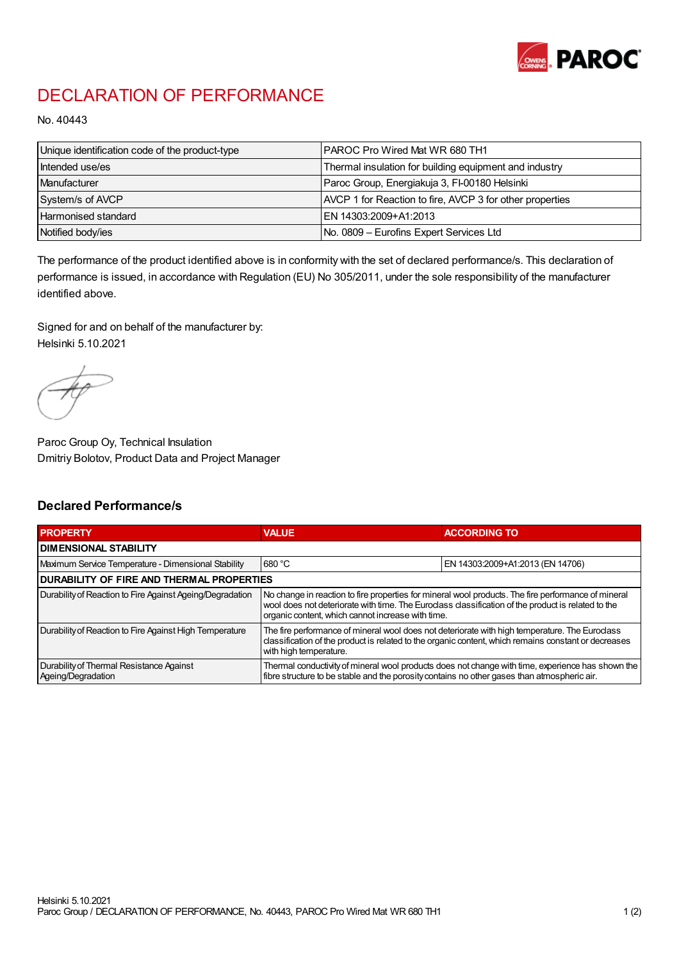

## DECLARATION OF PERFORMANCE

No. 40443

| Unique identification code of the product-type | <b>IPAROC Pro Wired Mat WR 680 TH1</b>                   |
|------------------------------------------------|----------------------------------------------------------|
| Intended use/es                                | Thermal insulation for building equipment and industry   |
| Manufacturer                                   | Paroc Group, Energiakuja 3, FI-00180 Helsinki            |
| System/s of AVCP                               | AVCP 1 for Reaction to fire, AVCP 3 for other properties |
| Harmonised standard                            | IEN 14303:2009+A1:2013                                   |
| Notified body/ies                              | No. 0809 - Eurofins Expert Services Ltd                  |

The performance of the product identified above is in conformity with the set of declared performance/s. This declaration of performance is issued, in accordance with Regulation (EU) No 305/2011, under the sole responsibility of the manufacturer identified above.

Signed for and on behalf of the manufacturer by: Helsinki 5.10.2021

Paroc Group Oy, Technical Insulation Dmitriy Bolotov, Product Data and Project Manager

## Declared Performance/s

| <b>PROPERTY</b>                                                | <b>VALUE</b>                                                                                                                                                                                                                                                   | <b>ACCORDING TO.</b>             |  |
|----------------------------------------------------------------|----------------------------------------------------------------------------------------------------------------------------------------------------------------------------------------------------------------------------------------------------------------|----------------------------------|--|
| <b>DIMENSIONAL STABILITY</b>                                   |                                                                                                                                                                                                                                                                |                                  |  |
| Maximum Service Temperature - Dimensional Stability            | 680 °C                                                                                                                                                                                                                                                         | EN 14303:2009+A1:2013 (EN 14706) |  |
| <b>DURABILITY OF FIRE AND THERMAL PROPERTIES</b>               |                                                                                                                                                                                                                                                                |                                  |  |
| Durability of Reaction to Fire Against Ageing/Degradation      | No change in reaction to fire properties for mineral wool products. The fire performance of mineral<br>wool does not deteriorate with time. The Euroclass classification of the product is related to the<br>organic content, which cannot increase with time. |                                  |  |
| Durability of Reaction to Fire Against High Temperature        | The fire performance of mineral wool does not deteriorate with high temperature. The Euroclass<br>classification of the product is related to the organic content, which remains constant or decreases<br>with high temperature.                               |                                  |  |
| Durability of Thermal Resistance Against<br>Ageing/Degradation | Thermal conductivity of mineral wool products does not change with time, experience has shown the<br>fibre structure to be stable and the porosity contains no other gases than atmospheric air.                                                               |                                  |  |